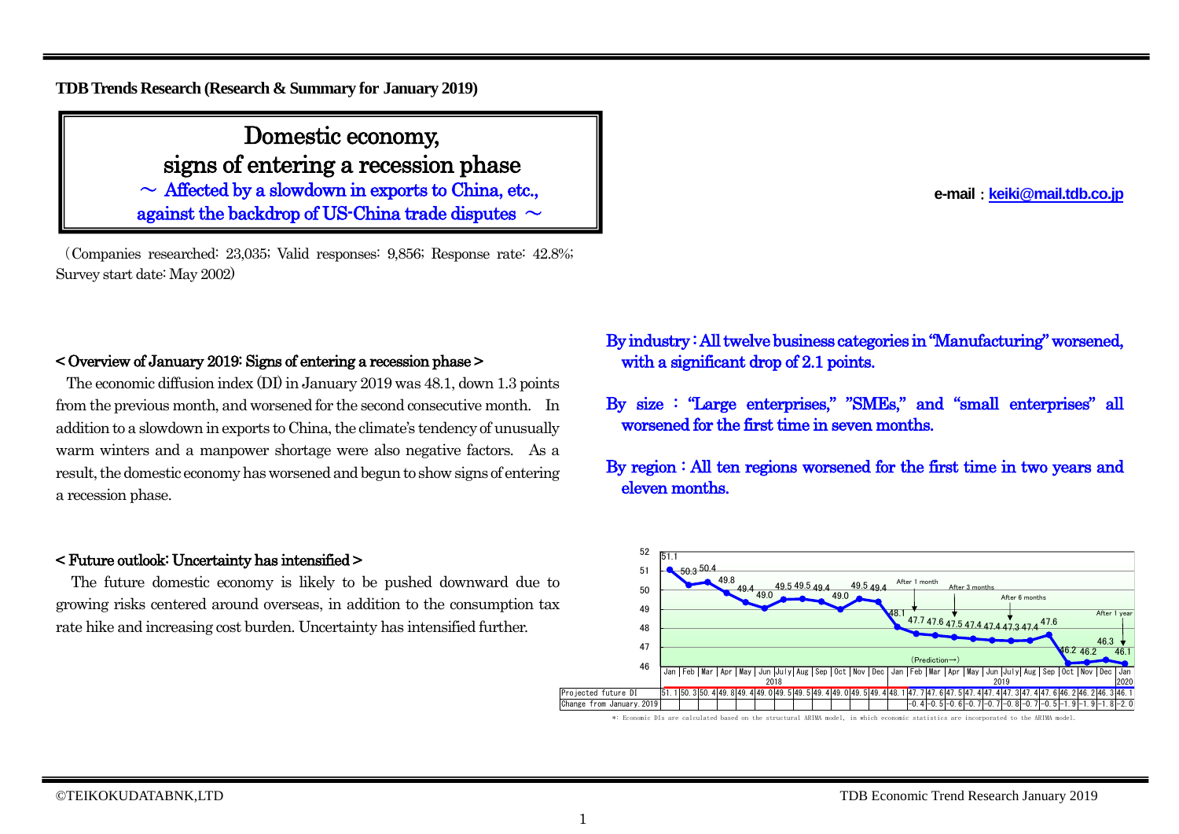## **TDB Trends Research (Research & Summary for January 2019)**

Domestic economy, signs of entering a recession phase  $\sim$  Affected by a slowdown in exports to China, etc., against the backdrop of US-China trade disputes  $\sim$ 

(Companies researched: 23,035; Valid responses: 9,856; Response rate: 42.8%; Survey start date: May 2002) Ϊ

## < Overview of January 2019: Signs of entering a recession phase >

The economic diffusion index (DI) in January 2019 was 48.1, down 1.3 points from the previous month, and worsened for the second consecutive month. In addition to a slowdown in exports to China, the climate's tendency of unusually warm winters and a manpower shortage were also negative factors. As a result, the domestic economy has worsened and begun to show signs of entering a recession phase.

### < Future outlook: Uncertainty has intensified >

The future domestic economy is likely to be pushed downward due to growing risks centered around overseas, in addition to the consumption tax rate hike and increasing cost burden. Uncertainty has intensified further.

## By industry : All twelve business categories in "Manufacturing" worsened, with a significant drop of 2.1 points.

By size : "Large enterprises," "SMEs," and "small enterprises" all worsened for the first time in seven months.

By region : All ten regions worsened for the first time in two years and eleven months.



\*: Economic DIs are calculated based on the structural ARIMA model, in which economic statistics are incorporated to the ARIMA model.

**e-mail**:**[keiki@mail.tdb.co.jp](mailto:keiki@mail.tdb.co.jp)**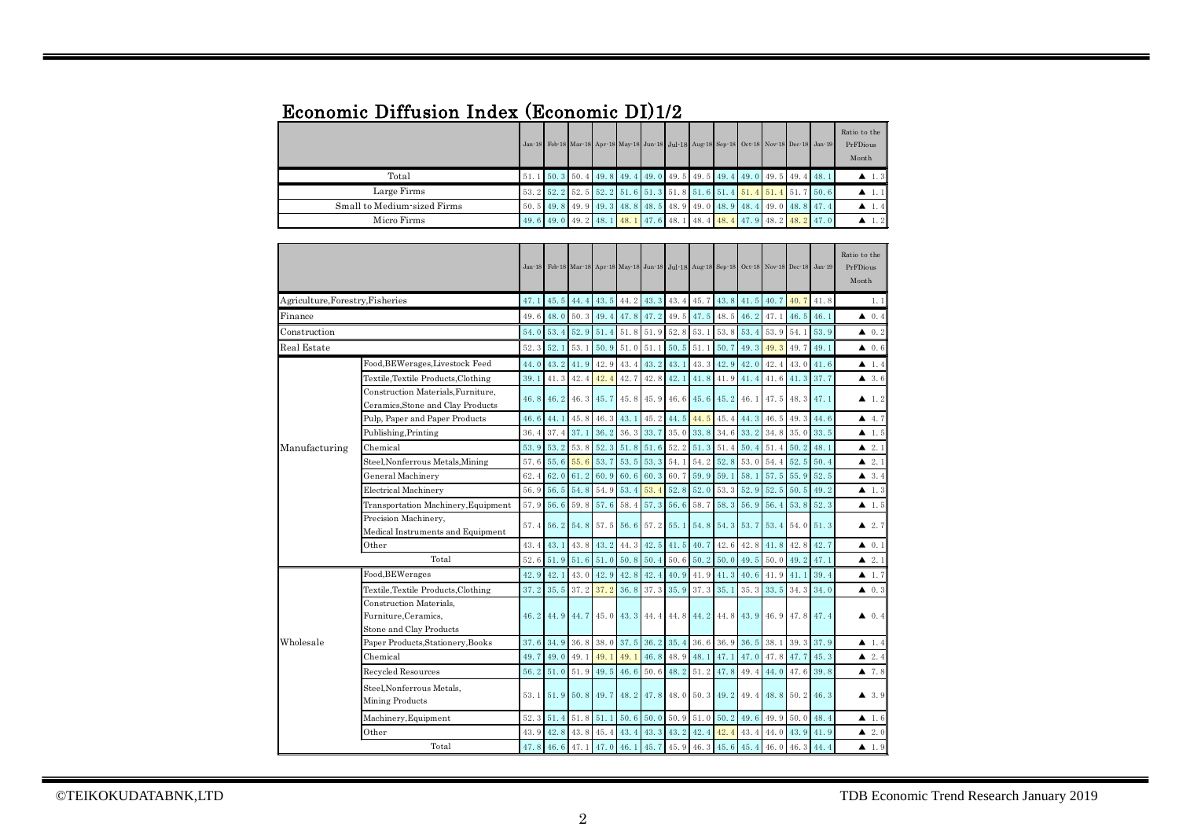## Economic Diffusion Index (Economic DI)1/2

|                             |  |  |  |                                                                               |  |  | Jan 18 Feb 18 Mar 18 Apr 18 May 18 Jun 18 Jul 18 Aug 18 Sep 18 Oct 18 Nov 18 Dec 18 Jan 19 | Ratio to the<br>PrFDious<br>Month |
|-----------------------------|--|--|--|-------------------------------------------------------------------------------|--|--|--------------------------------------------------------------------------------------------|-----------------------------------|
| Total                       |  |  |  | 51, 1 50, 3 50, 4 49, 8 49, 4 49, 0 49, 5 49, 5 49, 4 49, 0 49, 5 49, 4 48, 1 |  |  |                                                                                            | $\blacktriangle$ 1.3              |
| Large Firms                 |  |  |  |                                                                               |  |  | 53. 2 52. 2 52. 5 52. 2 51. 6 51. 3 51. 8 51. 6 51. 4 51. 4 51. 4 51. 7 50. 6              | $\blacktriangle$ 1.1              |
| Small to Medium-sized Firms |  |  |  |                                                                               |  |  | 50. 5 49. 8 49. 9 49. 3 48. 8 48. 5 48. 9 49. 0 48. 9 48. 4 49. 0 48. 8 47. 4              | $\blacktriangle$ 1.4              |
| Micro Firms                 |  |  |  |                                                                               |  |  | 49. 6 49. 0 49. 2 48. 1 48. 1 47. 6 48. 1 48. 4 48. 4 47. 9 48. 2 48. 2 47. 0              | $\blacktriangle$ 1.2              |

|                                  |                                                                            | $Jan-18$ |      |             |                     |             |             | Feb 18 Mar 18 Apr 18 May 18 Jun 18 Jul 18 Aug 18 Sep 18 Oct 18 Nov 18 Dec 18 Jan 19 |               |                               |      |           |      |      | Ratio to the<br>PrFDious<br>Month |
|----------------------------------|----------------------------------------------------------------------------|----------|------|-------------|---------------------|-------------|-------------|-------------------------------------------------------------------------------------|---------------|-------------------------------|------|-----------|------|------|-----------------------------------|
| Agriculture, Forestry, Fisheries |                                                                            | 47.1     | 45.5 | 44.4        | 43.5                | 44.2        | 43.3        | 43.4                                                                                | 45.7          | 43.8                          | 41.5 | 40.7      | 40.7 | 41.8 | 1.1                               |
| Finance                          |                                                                            | 49.6     | 48.0 | 50.3        | 49.4                |             | 47.8 47.2   | 49.5                                                                                | 47.5          | 48.5                          | 46.2 | 47.1      | 46.5 | 46.1 | 40.4                              |
| Construction                     |                                                                            | 54.0     | 53.4 | 52.9        | 51.4                | 51.8        | 51.9        | 52.8                                                                                | 53.1          | 53.8                          | 53.4 | 53.9      | 54.1 | 53.9 | $\blacktriangle$ 0.2              |
| Real Estate                      |                                                                            |          | 52.1 | 53.1        | 50.9                | 51.0        | 51.1        | 50.5                                                                                | 51.1          | 50.7                          | 49.3 | 49.3      | 49.7 | 49.1 | $\blacktriangle$ 0.6              |
|                                  | Food, BEWerages, Livestock Feed                                            | 44.0     |      | $43.2$ 41.9 | 42.9                | 43.4        | 43.2        | 43.1                                                                                | $43.3$ $42.9$ |                               | 42.0 | 42.4      | 43.0 | 41.6 | $\blacktriangle$ 1.4              |
|                                  | Textile, Textile Products, Clothing                                        | 39.1     | 41.3 | 42.4        | 42.4                | 42.7        | 42.8        | 42.1                                                                                | 41.8          | 41.9                          | 41.4 | 41.6      | 41.3 | 37.7 | 43.6                              |
|                                  | Construction Materials, Furniture,<br>Ceramics, Stone and Clay Products    | 46.8     |      | $46.2$ 46.3 | 45.7                | 45.8        | 45.9        | 46.6                                                                                | 45.6          | 45.2                          | 46.1 | 47.5      | 48.3 | 47.1 | $\blacktriangle$ 1.2              |
|                                  | Pulp, Paper and Paper Products                                             | 46.6     | 44.1 | 45.8        | 46.3                | 43.1        | 45.2        | 44.5                                                                                | 44.5          | 45.4                          | 44.3 | 46.5      | 49.3 | 44.6 | 4.7                               |
|                                  | Publishing, Printing                                                       | 36.4     | 37.4 | 37.1        | 36.2                | $36.3$ 33.7 |             | 35.0                                                                                | 33.8          | 34.6                          | 33.2 | 34.8      | 35.0 | 33.5 | $\blacktriangle$ 1.5              |
| Manufacturing                    | Chemical                                                                   | 53.9     | 53.2 | 53.8        | 52.3                | $51.8$ 51.6 |             | 52.2                                                                                | 51.3          | 51.4                          | 50.4 | 51.4      | 50.2 | 48.1 | 2.1                               |
|                                  | Steel, Nonferrous Metals, Mining                                           | 57.6     |      | 55.6 55.6   | 53.7                | 53.5        | 53.3        | 54.1                                                                                | 54.2          | 52.8                          | 53.0 | 54.4      | 52.5 | 50.4 | 2.1                               |
|                                  | <b>General Machinery</b>                                                   | 62.4     | 62.0 | 61.2        | 60.9                | 60.6        | 60.3        | 60.7                                                                                | 59.9          | 59.1                          | 58.1 | 57.5      | 55.9 | 52.5 | 43.4                              |
|                                  | <b>Electrical Machinery</b>                                                | 56.9     | 56.5 | 54.8        | 54.9                | 53.4        | 53.4        | 52.8                                                                                | 52.0          | 53.3                          | 52.9 | 52.5      | 50.5 | 49.2 | $\blacktriangle$ 1.3              |
|                                  | Transportation Machinery, Equipment                                        | 57.9     | 56.6 | 59.8        | 57.6                | 58.4        | 57.3        | 56.6                                                                                | 58.7          | 58.3                          | 56.9 | 56.4      | 53.8 | 52.3 | $\blacktriangle$ 1.5              |
|                                  | Precision Machinery,<br>Medical Instruments and Equipment                  | 57.4     |      |             | 56.2 54.8 57.5 56.6 |             | 57.2 55.1   |                                                                                     |               | 54.8 54.3 53.7 53.4 54.0 51.3 |      |           |      |      | $\blacktriangle$ 2.7              |
|                                  | Other                                                                      | 43.4     | 43.1 | 43.8        | 43.2                | 44.3        | 42.5        | 41.5                                                                                | 40.7          | 42.6                          | 42.8 | 41.8      | 42.8 | 42.7 | $\blacktriangle$ 0.1              |
|                                  | Total                                                                      | 52.6     | 51.9 | 51.6        | 51.0                | 50.8        | 50.4        | 50.6                                                                                | 50.2          | 50.0                          | 49.5 | 50.0      | 49.2 | 47.1 | $\blacktriangle$ 2.1              |
|                                  | Food, BEWerages                                                            | 42.9     | 42.1 | 43.0        | 42.9                | 42.8        | 42.4        | 40.9                                                                                | 41.9 41.3     |                               | 40.6 | 41.9      | 41.1 | 39.4 | $\blacktriangle$ 1.7              |
|                                  | Textile, Textile Products, Clothing                                        | 37.2     | 35.5 | $37.2$ 37.2 |                     | 36.8        | 37.3        | 35.9                                                                                | 37.3          | 35.1                          | 35.3 | 33.5      | 34.3 | 34.0 | $\blacktriangle$ 0.3              |
|                                  | Construction Materials,<br>Furniture, Ceramics,<br>Stone and Clay Products | 46.2     |      | 44.9 44.7   |                     |             |             | 45.0 43.3 44.4 44.8 44.2 44.8 43.9 46.9 47.8 47.4                                   |               |                               |      |           |      |      | 40.4                              |
| Wholesale                        | Paper Products, Stationery, Books                                          | 37.6     | 34.9 | 36.8        | 38.0                |             | $37.5$ 36.2 | 35.4                                                                                | 36.6          | 36.9                          | 36.5 | 38.1      | 39.3 | 37.9 | $\blacktriangle$ 1.4              |
|                                  | Chemical                                                                   | 49.7     | 49.0 | 49.1        | 49.1                | 49.1        | 46.8        | 48.9                                                                                | 48.1          | 47.1                          | 47.0 | 47.8 47.7 |      | 45.3 | 2.4                               |
|                                  | Recycled Resources                                                         | 56.2     | 51.0 | 51.9        | 49.5                | 46.6        | 50.6        | 48.2                                                                                | 51.2          | 47.8                          | 49.4 | 44.0      | 47.6 | 39.8 | 47.8                              |
|                                  | Steel, Nonferrous Metals,<br>Mining Products                               | 53.1     |      |             | 51.9 50.8 49.7      |             |             | 48. 2 47. 8 48. 0 50. 3 49. 2 49. 4 48. 8 50. 2 46. 3                               |               |                               |      |           |      |      | 43.9                              |
|                                  | Machinery, Equipment                                                       | 52.3     | 51.4 | 51.8        | 51.1                | 50.6        | 50.0        | 50.9                                                                                | 51.0          | 50.2                          | 49.6 | 49.9      | 50.0 | 48.4 | $\blacktriangle$ 1.6              |
|                                  | Other                                                                      | 43.9     |      | 42.8 43.8   | 45.4                | 43.4        | 43.3        | 43.2                                                                                | 42.4          | 42.4                          | 43.4 | 44.0      | 43.9 | 41.9 | $\blacktriangle$ 2.0              |
|                                  | Total                                                                      |          |      |             |                     |             |             | 47.8 46.6 47.1 47.0 46.1 45.7 45.9 46.3 45.6 45.4 46.0 46.3 44.4                    |               |                               |      |           |      |      | $\blacktriangle$ 1.9              |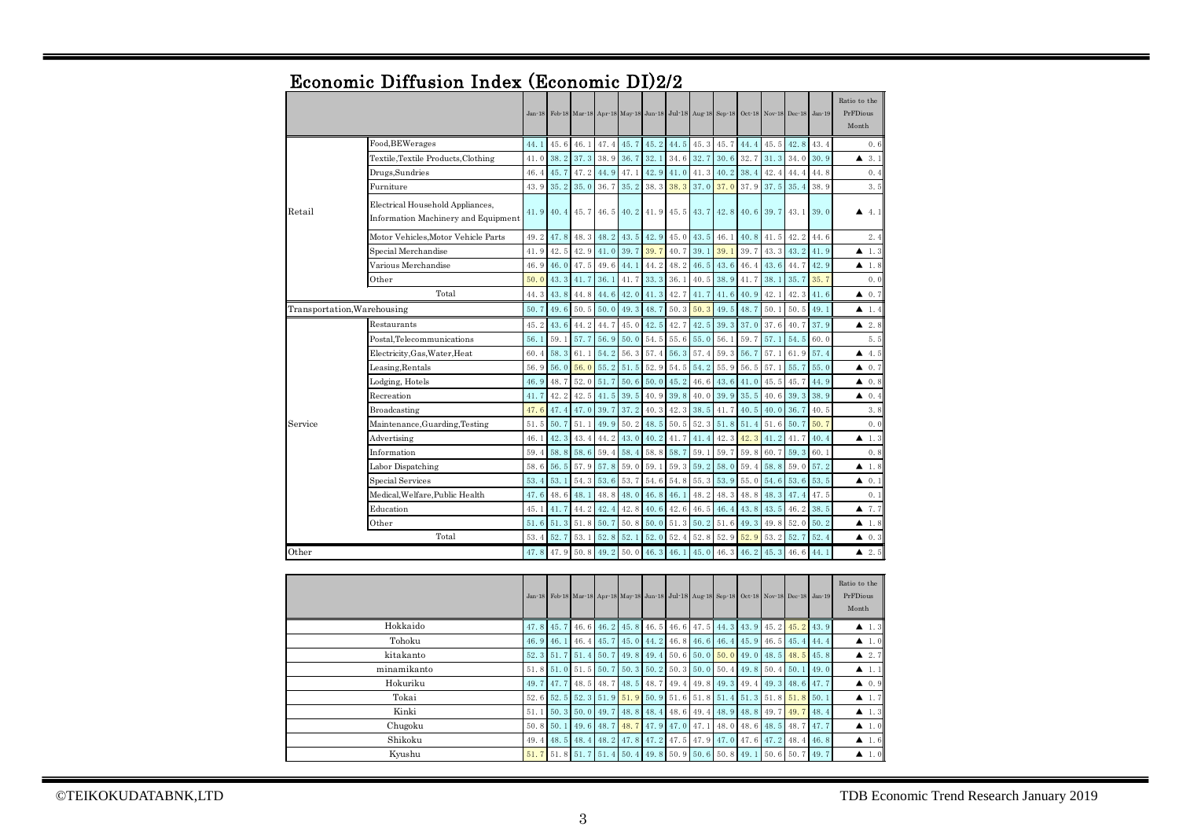|                             |                                                                         | $Jan-18$ |      |      |      |      | Feb 18 Mar 18 Apr 18 May 18 Jun 18 |                                                                                     | Jul-18 Aug-18 Sep-18 |      |      |      | Oct 18 Nov 18 Dec 18 | $Jan-19$ | Ratio to the<br>PrFDious<br>Month |
|-----------------------------|-------------------------------------------------------------------------|----------|------|------|------|------|------------------------------------|-------------------------------------------------------------------------------------|----------------------|------|------|------|----------------------|----------|-----------------------------------|
|                             | Food, BEWerages                                                         | 44.1     | 45.6 | 46.1 | 47.4 | 45.7 | 45.2                               | 44.5                                                                                | 45.3                 | 45.7 | 44.4 | 45.5 | 42.8                 | 43.4     | 0.6                               |
|                             | Textile, Textile Products, Clothing                                     | 41.0     | 38.2 | 37.3 | 38.9 | 36.7 | 32.1                               | 34.6                                                                                | 32.7                 | 30.6 | 32.7 | 31.3 | 34.0                 | 30.9     | 3.1<br>▲                          |
|                             | Drugs, Sundries                                                         | 46.4     | 45.7 | 47.2 | 44.9 | 47.1 | 42.9                               | 41.0                                                                                | 41.3                 | 40.2 | 38.4 | 42.4 | 44.4                 | 44.8     | 0.4                               |
|                             | Furniture                                                               | 43.9     | 35.2 | 35.0 | 36.7 | 35.2 | 38.3                               | 38.3                                                                                | 37.0                 | 37.0 | 37.9 | 37.5 | 35.4                 | 38.9     | 3.5                               |
| Retail                      | Electrical Household Appliances,<br>Information Machinery and Equipment | 41.9     | 40.4 | 45.7 | 46.5 | 40.2 | 41.9                               | 45.5                                                                                | 43.7                 | 42.8 | 40.6 | 39.7 | 43.1                 | 39.0     | 4.1<br>▲                          |
|                             | Motor Vehicles, Motor Vehicle Parts                                     | 49.2     | 47.8 | 48.3 | 48.2 | 43.5 | 42.9                               | 45.0                                                                                | 43.5                 | 46.1 | 40.8 | 41.5 | 42.2                 | 44.6     | 2.4                               |
|                             | Special Merchandise                                                     | 41.9     | 42.5 | 42.9 | 41.0 | 39.7 | 39.7                               | 40.7                                                                                | 39.1                 | 39.1 | 39.7 | 43.3 | 43.2                 | 41.9     | 1.3<br>▲                          |
|                             | Various Merchandise                                                     | 46.9     | 46.0 | 47.5 | 49.6 | 44.1 | 44.2                               | 48.2                                                                                | 46.5                 | 43.6 | 46.4 | 43.6 | 44.7                 | 42.9     | 1.8<br>▲                          |
|                             | Other                                                                   | 50.0     | 43.3 | 41.7 | 36.1 | 41.7 | 33.3                               | 36.1                                                                                | 40.5                 | 38.9 | 41.7 | 38.1 | 35.7                 | 35.7     | 0.0                               |
|                             | Total                                                                   | 44.3     | 43.8 | 44.8 | 44.6 | 42.0 | 41.3                               | 42.7                                                                                | 41.7                 | 41.6 | 40.9 | 42.1 | 42.3                 | 41.6     | ▲<br>0.7                          |
| Transportation, Warehousing |                                                                         | 50.7     | 49.6 | 50.5 | 50.0 | 49.3 | 48.7                               | 50.3                                                                                | 50.3                 | 49.5 | 48.7 | 50.1 | 50.5                 | 49.1     | 1.4<br>▲                          |
|                             | Restaurants                                                             | 45.2     | 43.6 | 44.2 | 44.7 | 45.0 | 42.5                               | 42.7                                                                                | 42.5                 | 39.3 | 37.0 | 37.6 | 40.7                 | 37.9     | 2.8<br>▲                          |
|                             | Postal,Telecommunications                                               | 56.1     | 59.1 | 57.7 | 56.9 | 50.0 | 54.5                               | 55.6                                                                                | 55.0                 | 56.1 | 59.7 | 57.1 | 54.5                 | 60.0     | 5.5                               |
|                             | Electricity, Gas, Water, Heat                                           | 60.4     | 58.3 | 61.1 | 54.2 | 56.3 | 57.4                               | 56.3                                                                                | 57.4                 | 59.3 | 56.7 | 57.1 | 61.9                 | 57.4     | 4.5<br>▲                          |
|                             | Leasing,Rentals                                                         | 56.9     | 56.0 | 56.0 | 55.2 | 51.5 | 52.9                               | 54.5                                                                                | 54.2                 | 55.9 | 56.5 | 57.1 | 55.7                 | 55.0     | 0.7<br>▲                          |
|                             | Lodging, Hotels                                                         | 46.9     | 48.7 | 52.0 | 51.7 | 50.6 | 50.0                               | 45.2                                                                                | 46.6                 | 43.6 | 41.0 | 45.5 | 45.7                 | 44.9     | 0, 8<br>▲                         |
|                             | Recreation                                                              | 41.7     | 42.2 | 42.5 | 41.5 | 39.5 | 40.9                               | 39.8                                                                                | 40.0                 | 39.9 | 35.5 | 40.6 | 39.3                 | 38.9     | ▲<br>0, 4                         |
|                             | Broadcasting                                                            | 47.6     | 47.4 | 47.0 | 39.7 | 37.2 | 40.3                               | 42.3                                                                                | 38.5                 | 41.7 | 40.5 | 40.0 | 36.7                 | 40.5     | 3.8                               |
| Service                     | Maintenance, Guarding, Testing                                          | 51.5     | 50.7 | 51.1 | 49.9 | 50.2 | 48.5                               | 50.5                                                                                | 52.3                 | 51.8 | 51.4 | 51.6 | 50.7                 | 50.7     | 0.0                               |
|                             | Advertising                                                             | 46.1     | 42.3 | 43.4 | 44.2 | 43.0 | 40.2                               | 41.7                                                                                | 41.4                 | 42.3 | 42.3 | 41.2 | 41.7                 | 40.4     | 1.3<br>▲                          |
|                             | Information                                                             | 59.4     | 58.8 | 58.6 | 59.4 | 58.4 | 58.8                               | 58.7                                                                                | 59.1                 | 59.7 | 59.8 | 60.7 | 59.3                 | 60.1     | 0.8                               |
|                             | Labor Dispatching                                                       | 58.6     | 56.5 | 57.9 | 57.8 | 59.0 | 59.1                               | 59.3                                                                                | 59.2                 | 58.0 | 59.4 | 58.8 | 59.0                 | 57.2     | 1.8<br>▲                          |
|                             | Special Services                                                        | 53.4     | 53.1 | 54.3 | 53.6 | 53.7 | 54.6                               | 54.8                                                                                | 55.3                 | 53.9 | 55.0 | 54.6 | 53.6                 | 53.5     | ▲<br>0.1                          |
|                             | Medical, Welfare, Public Health                                         | 47.6     | 48.6 | 48.1 | 48.8 | 48.0 | 46.8                               | 46.1                                                                                | 48.2                 | 48.3 | 48.8 | 48.3 | 47.4                 | 47.5     | 0.1                               |
|                             | Education                                                               | 45.1     | 41.7 | 44.2 | 42.4 | 42.8 | 40.6                               | 42.6                                                                                | 46.5                 | 46.4 | 43.8 | 43.5 | 46.2                 | 38.5     | 7.7<br>▲                          |
|                             | Other                                                                   | 51.6     | 51.3 | 51.8 | 50.7 | 50.8 | 50.0                               | 51.3                                                                                | 50.2                 | 51.6 | 49.3 | 49.8 | 52.0                 | 50.2     | 1.8<br>▲                          |
|                             | Total                                                                   | 53.4     | 52.7 | 53.1 | 52.8 | 52.1 | 52.0                               | 52.4                                                                                | 52.8                 | 52.9 | 52.9 | 53.2 | 52.7                 | 52.4     | 40.3                              |
| Other                       |                                                                         | 47.8     | 47.9 | 50.8 | 49.2 | 50.0 | 46.3                               | 46.1                                                                                | 45.0                 | 46.3 | 46.2 | 45.3 | 46.6                 | 44.1     | 42.5                              |
|                             |                                                                         | $Jan-18$ |      |      |      |      |                                    | Feb 18 Mar 18 Apr 18 May 18 Jun 18 Jul 18 Aug 18 Sep 18 Oct 18 Nov 18 Dec 18 Jan 19 |                      |      |      |      |                      |          | Ratio to the<br>PrFDious<br>Month |
|                             | Hokkaido                                                                | 47.8     | 45.7 | 46.6 | 46.2 | 45.8 | 46.5                               | 46.6                                                                                | 47.5                 | 44.3 | 43.9 | 45.2 | 45.2                 | 43.9     | $\blacktriangle$ 1.3              |
| Tohoku                      |                                                                         | 46.9     | 46.1 | 46.4 | 45.7 | 45.0 | 44.2                               | 46.8                                                                                | 46.6                 | 46.4 | 45.9 | 46.5 | 45.4                 | 44.4     | ▲<br>1.0                          |
| kitakanto                   |                                                                         | 52.3     | 51.7 | 51.4 | 50.7 | 49.8 | 49.4                               | 50.6                                                                                | 50.0                 | 50.0 | 49.0 | 48.5 | 48.5                 | 45.8     | ▲<br>2.7                          |
| minamikanto                 |                                                                         | 51.8     | 51.0 | 51.5 | 50.7 | 50.3 | 50.2                               | 50.3                                                                                | 50.0                 | 50.4 | 49.8 | 50.4 | 50.1                 | 49.0     | 1.1<br>▲                          |
| Hokuriku                    |                                                                         | 49.7     | 47.7 | 48.5 | 48.7 | 48.5 | 48.7                               | 49.4                                                                                | 49.8                 | 49.3 | 49.4 | 49.3 | 48.6                 | 47.7     | 0.9<br>▲                          |
| Tokai                       |                                                                         | 52.6     | 52.5 | 52.3 | 51.9 | 51.9 | 50.9                               | 51.6                                                                                | 51.8                 | 51.4 | 51.3 | 51.8 | 51.8                 | 50.1     | 1.7<br>▲                          |
|                             | Kinki                                                                   | 51.1     | 50.3 | 50.0 | 49.7 | 48.8 | 48.4                               | 48.6                                                                                | 49.4                 | 48.9 | 48.8 | 49.7 | 49.7                 | 48.4     | 1.3<br>▲                          |
|                             | Chugoku                                                                 | 50.8     | 50.1 | 49.6 | 48.7 | 48.7 | 47.9                               | 47.0                                                                                | 47.1                 | 48.0 | 48.6 | 48.5 | 48.7                 | 47.7     | 1.0<br>▲                          |
|                             | Shikoku                                                                 | 49.4     | 48.5 | 48.4 | 48.2 | 47.8 | 47.2                               | 47.5                                                                                | 47.9                 | 47.0 | 47.6 | 47.2 | 48.4                 | 46.8     | 1.6<br>▲                          |
|                             | Kyushu                                                                  | 51.7     | 51.8 | 51.7 | 51.4 | 50.4 | 49.8                               | 50.9                                                                                | 50.6                 | 50.8 | 49.1 | 50.6 | 50.7                 | 49.7     | 1.0<br>▲                          |

## Economic Diffusion Index (Economic DI)2/2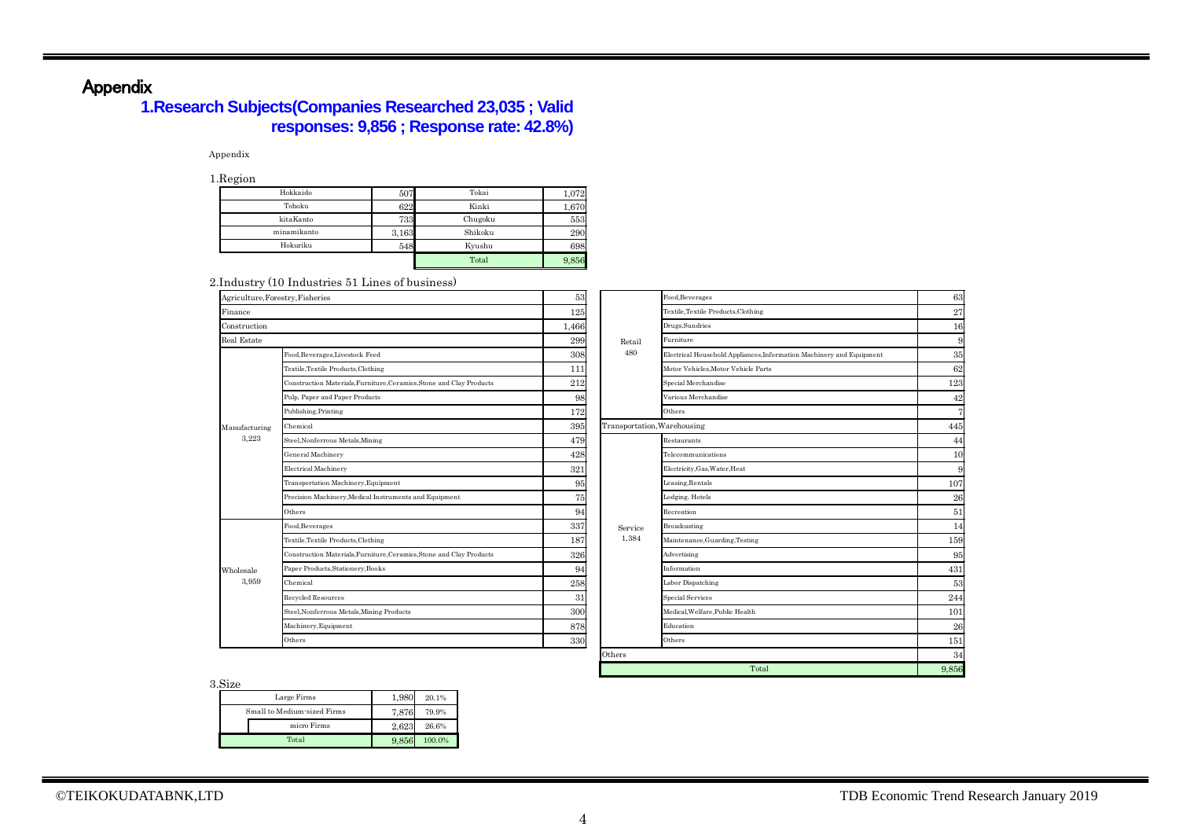# Appendix

## **1.Research Subjects(Companies Researched 23,035 ; Valid responses: 9,856 ; Response rate: 42.8%)**

#### Appendix

1.Region

| $  \sigma$  |       |         |       |
|-------------|-------|---------|-------|
| Hokkaido    | 507   | Tokai   | 1,072 |
| Tohoku      | 622   | Kinki   | 1,670 |
| kitaKanto   | 733   | Chugoku | 553   |
| minamikanto | 3,163 | Shikoku | 290   |
| Hokuriku    | 548   | Kyushu  | 698   |
|             |       | Total   | 9,856 |

2.Industry (10 Industries 51 Lines of business)

|                                  | maabay (10 maabaroo 01 mmoo of babinoob)                             |     |                             |                                                                      |       |  |
|----------------------------------|----------------------------------------------------------------------|-----|-----------------------------|----------------------------------------------------------------------|-------|--|
| Agriculture, Forestry, Fisheries |                                                                      | 53  |                             | Food, Beverages                                                      | 63    |  |
| Finance                          |                                                                      | 125 |                             | Textile, Textile Products, Clothing                                  | 27    |  |
| Construction                     |                                                                      |     |                             | Drugs, Sundries                                                      | 16    |  |
| Real Estate                      |                                                                      | 299 | Retail                      | Furniture                                                            | g     |  |
|                                  | Food, Beverages, Livestock Feed                                      | 308 | 480                         | Electrical Household Appliances, Information Machinery and Equipment | 35    |  |
|                                  | Textile, Textile Products, Clothing                                  | 111 |                             | Motor Vehicles, Motor Vehicle Parts                                  | 62    |  |
|                                  | Construction Materials, Furniture, Ceramics, Stone and Clay Products | 212 |                             | Special Merchandise                                                  | 123   |  |
|                                  | Pulp, Paper and Paper Products                                       | 98  |                             | Various Merchandise                                                  | 42    |  |
|                                  | Publishing, Printing                                                 | 172 |                             | Others                                                               | 7     |  |
| Manufacturing                    | Chemical                                                             | 395 | Transportation, Warehousing |                                                                      | 445   |  |
| 3,223                            | Steel, Nonferrous Metals, Mining                                     | 479 |                             | Restaurants                                                          | 44    |  |
|                                  | General Machinery                                                    | 428 |                             | Telecommunications                                                   | 10    |  |
|                                  | Electrical Machinery                                                 | 321 |                             | Electricity, Gas, Water, Heat                                        | g     |  |
|                                  | Transportation Machinery, Equipment                                  | 95  |                             | Leasing, Rentals                                                     | 107   |  |
|                                  | Precision Machinery, Medical Instruments and Equipment               | 75  |                             | Lodging, Hotels                                                      | 26    |  |
|                                  | Others                                                               | 94  |                             | Recreation                                                           | 51    |  |
|                                  | Food, Beverages                                                      | 337 | Service                     | Broadcasting                                                         | 14    |  |
|                                  | Textile, Textile Products, Clothing                                  | 187 | 1,384                       | Maintenance, Guarding, Testing                                       | 159   |  |
|                                  | Construction Materials, Furniture, Ceramics, Stone and Clay Products | 326 |                             | Advertising                                                          | 95    |  |
| Wholesale                        | Paper Products, Stationery, Books                                    | 94  |                             | Information                                                          | 431   |  |
| 3,959                            | Chemical                                                             | 258 |                             | Labor Dispatching                                                    | 53    |  |
|                                  | Recycled Resources                                                   | 31  |                             | <b>Special Services</b>                                              | 244   |  |
|                                  | Steel, Nonferrous Metals, Mining Products                            | 300 |                             | Medical, Welfare, Public Health                                      | 101   |  |
|                                  | Machinery, Equipment                                                 | 878 |                             | Education                                                            | 26    |  |
|                                  | Others                                                               | 330 |                             | Others                                                               | 151   |  |
|                                  |                                                                      |     | Others                      |                                                                      | 34    |  |
|                                  |                                                                      |     |                             | Total                                                                | 9.856 |  |

3.Size

| .                           |       |        |
|-----------------------------|-------|--------|
| Large Firms                 | 1,980 | 20.1%  |
| Small to Medium-sized Firms | 7,876 | 79.9%  |
| micro Firms                 | 2.623 | 26.6%  |
| Total                       | 9.856 | 100.0% |

44

62

42

27 16

63